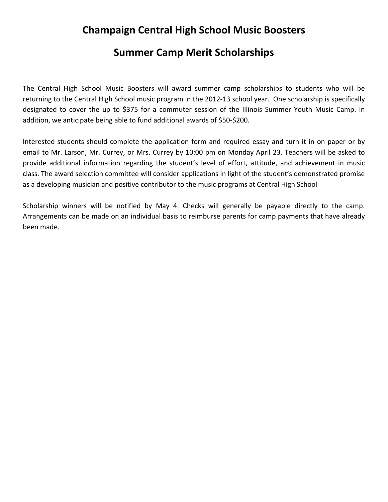## **Champaign Central High School Music Boosters**

## **Summer Camp Merit Scholarships**

The Central High School Music Boosters will award summer camp scholarships to students who will be returning to the Central High School music program in the 2012‐13 school year. One scholarship is specifically designated to cover the up to \$375 for a commuter session of the Illinois Summer Youth Music Camp. In addition, we anticipate being able to fund additional awards of \$50‐\$200.

Interested students should complete the application form and required essay and turn it in on paper or by email to Mr. Larson, Mr. Currey, or Mrs. Currey by 10:00 pm on Monday April 23. Teachers will be asked to provide additional information regarding the student's level of effort, attitude, and achievement in music class. The award selection committee will consider applications in light of the student's demonstrated promise as a developing musician and positive contributor to the music programs at Central High School

Scholarship winners will be notified by May 4. Checks will generally be payable directly to the camp. Arrangements can be made on an individual basis to reimburse parents for camp payments that have already been made.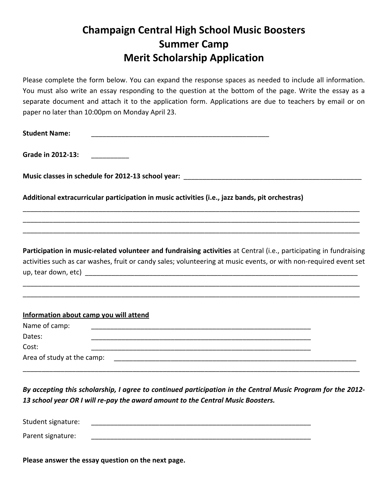## **Champaign Central High School Music Boosters Summer Camp Merit Scholarship Application**

Please complete the form below. You can expand the response spaces as needed to include all information. You must also write an essay responding to the question at the bottom of the page. Write the essay as a separate document and attach it to the application form. Applications are due to teachers by email or on paper no later than 10:00pm on Monday April 23.

| <b>Student Name:</b>                                                                                                                                                                                                                    |
|-----------------------------------------------------------------------------------------------------------------------------------------------------------------------------------------------------------------------------------------|
| <b>Grade in 2012-13:</b>                                                                                                                                                                                                                |
|                                                                                                                                                                                                                                         |
| Additional extracurricular participation in music activities (i.e., jazz bands, pit orchestras)                                                                                                                                         |
|                                                                                                                                                                                                                                         |
| Participation in music-related volunteer and fundraising activities at Central (i.e., participating in fundraising<br>activities such as car washes, fruit or candy sales; volunteering at music events, or with non-required event set |
| Information about camp you will attend                                                                                                                                                                                                  |
| Name of camp:                                                                                                                                                                                                                           |
| Dates:                                                                                                                                                                                                                                  |
| Cost:                                                                                                                                                                                                                                   |
|                                                                                                                                                                                                                                         |

By accepting this scholarship, I agree to continued participation in the Central Music Program for the 2012-*13 school year OR I will re‐pay the award amount to the Central Music Boosters.*

| Student signature: |  |
|--------------------|--|
| Parent signature:  |  |

**Please answer the essay question on the next page.**